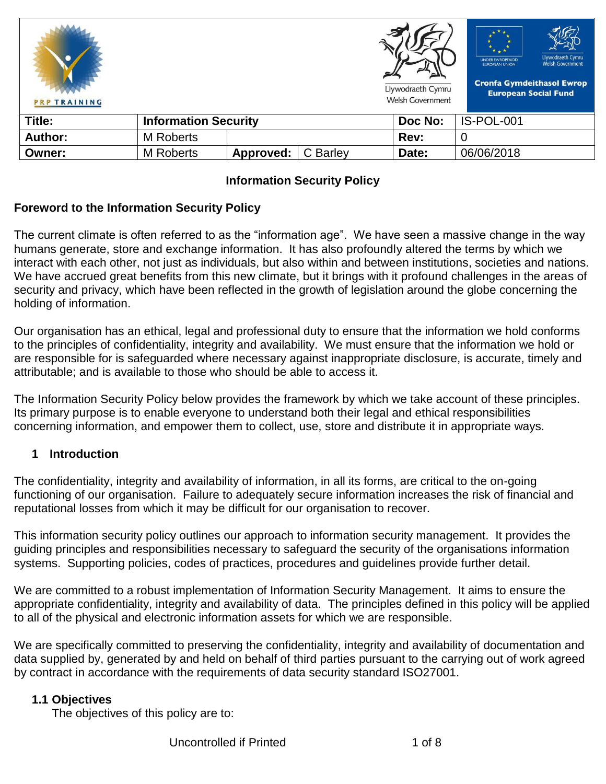| <b>PRP TRAINING</b> |                             |           |          | Llywodraeth Cymru<br><b>Welsh Government</b> | Llywodraeth Cymru<br><b>UNDEB EWROPEAIDD</b><br><b>Welsh Government</b><br><b>EUROPEAN UNION</b><br><b>Cronfa Gymdeithasol Ewrop</b><br><b>European Social Fund</b> |
|---------------------|-----------------------------|-----------|----------|----------------------------------------------|---------------------------------------------------------------------------------------------------------------------------------------------------------------------|
| Title:              | <b>Information Security</b> |           |          | Doc No:                                      | IS-POL-001                                                                                                                                                          |
| <b>Author:</b>      | M Roberts                   |           |          | Rev:                                         | 0                                                                                                                                                                   |
| Owner:              | <b>M</b> Roberts            | Approved: | C Barley | Date:                                        | 06/06/2018                                                                                                                                                          |

## **Information Security Policy**

### **Foreword to the Information Security Policy**

The current climate is often referred to as the "information age". We have seen a massive change in the way humans generate, store and exchange information. It has also profoundly altered the terms by which we interact with each other, not just as individuals, but also within and between institutions, societies and nations. We have accrued great benefits from this new climate, but it brings with it profound challenges in the areas of security and privacy, which have been reflected in the growth of legislation around the globe concerning the holding of information.

Our organisation has an ethical, legal and professional duty to ensure that the information we hold conforms to the principles of confidentiality, integrity and availability. We must ensure that the information we hold or are responsible for is safeguarded where necessary against inappropriate disclosure, is accurate, timely and attributable; and is available to those who should be able to access it.

The Information Security Policy below provides the framework by which we take account of these principles. Its primary purpose is to enable everyone to understand both their legal and ethical responsibilities concerning information, and empower them to collect, use, store and distribute it in appropriate ways.

#### **1 Introduction**

The confidentiality, integrity and availability of information, in all its forms, are critical to the on-going functioning of our organisation. Failure to adequately secure information increases the risk of financial and reputational losses from which it may be difficult for our organisation to recover.

This information security policy outlines our approach to information security management. It provides the guiding principles and responsibilities necessary to safeguard the security of the organisations information systems. Supporting policies, codes of practices, procedures and guidelines provide further detail.

We are committed to a robust implementation of Information Security Management. It aims to ensure the appropriate confidentiality, integrity and availability of data. The principles defined in this policy will be applied to all of the physical and electronic information assets for which we are responsible.

We are specifically committed to preserving the confidentiality, integrity and availability of documentation and data supplied by, generated by and held on behalf of third parties pursuant to the carrying out of work agreed by contract in accordance with the requirements of data security standard ISO27001.

#### **1.1 Objectives**

The objectives of this policy are to: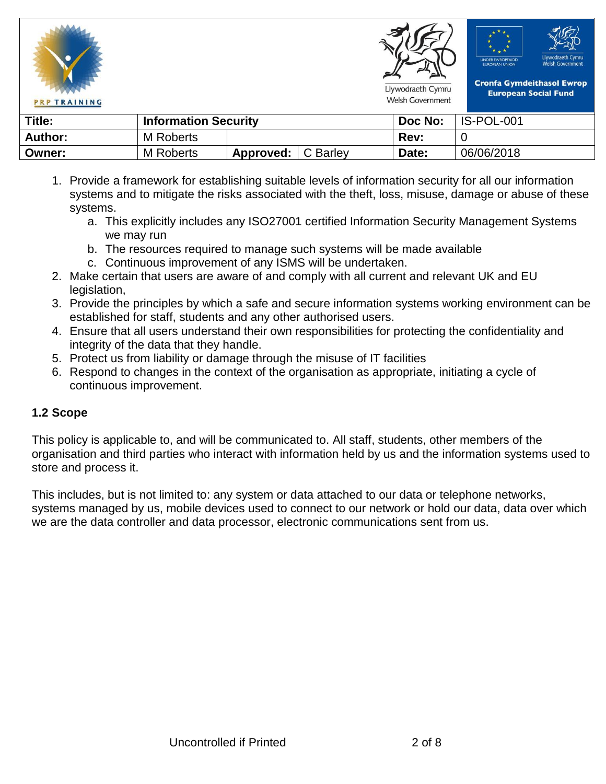







**Cronfa Gymdeithasol Ewrop European Social Fund** 

Llywodraeth Cymru Welsh Government

**Title: Information Security Information Security IDoc No:** | IS-POL-001 **Author:** M Roberts **Rev:** 0

- 1. Provide a framework for establishing suitable levels of information security for all our information systems and to mitigate the risks associated with the theft, loss, misuse, damage or abuse of these systems.
	- a. This explicitly includes any ISO27001 certified Information Security Management Systems we may run
	- b. The resources required to manage such systems will be made available

**Owner:** M Roberts **Approved:** C Barley **Date:** 06/06/2018

- c. Continuous improvement of any ISMS will be undertaken.
- 2. Make certain that users are aware of and comply with all current and relevant UK and EU legislation.
- 3. Provide the principles by which a safe and secure information systems working environment can be established for staff, students and any other authorised users.
- 4. Ensure that all users understand their own responsibilities for protecting the confidentiality and integrity of the data that they handle.
- 5. Protect us from liability or damage through the misuse of IT facilities
- 6. Respond to changes in the context of the organisation as appropriate, initiating a cycle of continuous improvement.

# **1.2 Scope**

This policy is applicable to, and will be communicated to. All staff, students, other members of the organisation and third parties who interact with information held by us and the information systems used to store and process it.

This includes, but is not limited to: any system or data attached to our data or telephone networks, systems managed by us, mobile devices used to connect to our network or hold our data, data over which we are the data controller and data processor, electronic communications sent from us.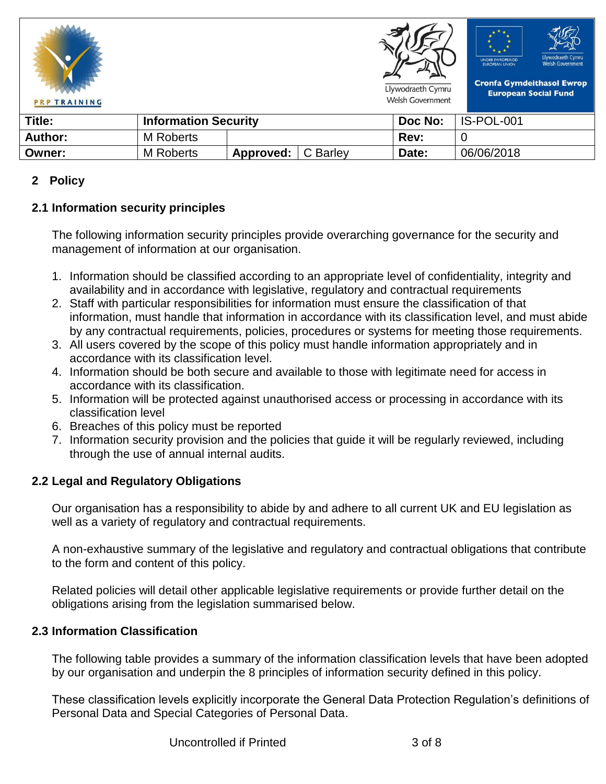





**Cronfa Gymdeithasol Ewrop** 

Llywodraeth Cymru Welsh Government **European Social Fund** 

| Title:  | <b>Information Security</b> |           |          | Doc No: | IS-POL-001 |
|---------|-----------------------------|-----------|----------|---------|------------|
| Author: | <b>M</b> Roberts            |           |          | Rev:    |            |
| Owner:  | <b>M</b> Roberts            | Approved: | C Barley | Date:   | 06/06/2018 |

### **2 Policy**

# **2.1 Information security principles**

The following information security principles provide overarching governance for the security and management of information at our organisation.

- 1. Information should be classified according to an appropriate level of confidentiality, integrity and availability and in accordance with legislative, regulatory and contractual requirements
- 2. Staff with particular responsibilities for information must ensure the classification of that information, must handle that information in accordance with its classification level, and must abide by any contractual requirements, policies, procedures or systems for meeting those requirements.
- 3. All users covered by the scope of this policy must handle information appropriately and in accordance with its classification level.
- 4. Information should be both secure and available to those with legitimate need for access in accordance with its classification.
- 5. Information will be protected against unauthorised access or processing in accordance with its classification level
- 6. Breaches of this policy must be reported
- 7. Information security provision and the policies that guide it will be regularly reviewed, including through the use of annual internal audits.

# **2.2 Legal and Regulatory Obligations**

Our organisation has a responsibility to abide by and adhere to all current UK and EU legislation as well as a variety of regulatory and contractual requirements.

A non-exhaustive summary of the legislative and regulatory and contractual obligations that contribute to the form and content of this policy.

Related policies will detail other applicable legislative requirements or provide further detail on the obligations arising from the legislation summarised below.

# **2.3 Information Classification**

The following table provides a summary of the information classification levels that have been adopted by our organisation and underpin the 8 principles of information security defined in this policy.

These classification levels explicitly incorporate the General Data Protection Regulation's definitions of Personal Data and Special Categories of Personal Data.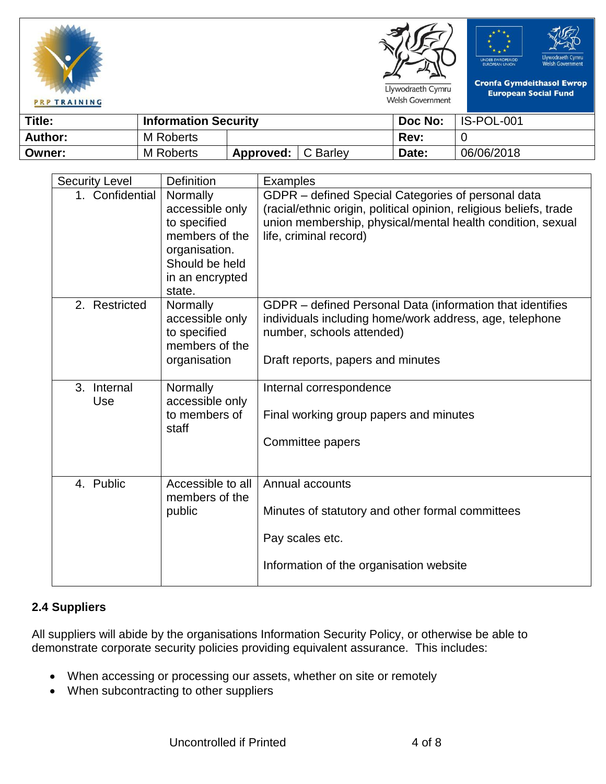







Llywodraeth Cymru **Welsh Government** 

**Cronfa Gymdeithasol Ewrop European Social Fund** 

| Title:  | <b>Information Security</b> |           |          | Doc No: | IS-POL-001 |
|---------|-----------------------------|-----------|----------|---------|------------|
| Author: | M Roberts                   |           |          | Rev:    |            |
| Owner:  | <b>M</b> Roberts            | Approved: | C Barley | Date:   | 06/06/2018 |

| <b>Security Level</b> | <b>Definition</b>               | Examples                                                                             |
|-----------------------|---------------------------------|--------------------------------------------------------------------------------------|
| 1. Confidential       | Normally                        | GDPR - defined Special Categories of personal data                                   |
|                       | accessible only                 | (racial/ethnic origin, political opinion, religious beliefs, trade                   |
|                       | to specified                    | union membership, physical/mental health condition, sexual                           |
|                       | members of the                  | life, criminal record)                                                               |
|                       | organisation.                   |                                                                                      |
|                       | Should be held                  |                                                                                      |
|                       | in an encrypted                 |                                                                                      |
|                       | state.                          |                                                                                      |
| 2. Restricted         | Normally                        | GDPR - defined Personal Data (information that identifies                            |
|                       | accessible only<br>to specified | individuals including home/work address, age, telephone<br>number, schools attended) |
|                       | members of the                  |                                                                                      |
|                       | organisation                    | Draft reports, papers and minutes                                                    |
|                       |                                 |                                                                                      |
| 3. Internal           | Normally                        | Internal correspondence                                                              |
| Use                   | accessible only                 |                                                                                      |
|                       | to members of                   | Final working group papers and minutes                                               |
|                       | staff                           |                                                                                      |
|                       |                                 | Committee papers                                                                     |
|                       |                                 |                                                                                      |
|                       |                                 |                                                                                      |
| 4. Public             | Accessible to all               | Annual accounts                                                                      |
|                       | members of the                  |                                                                                      |
|                       | public                          | Minutes of statutory and other formal committees                                     |
|                       |                                 | Pay scales etc.                                                                      |
|                       |                                 |                                                                                      |
|                       |                                 | Information of the organisation website                                              |
|                       |                                 |                                                                                      |

# **2.4 Suppliers**

All suppliers will abide by the organisations Information Security Policy, or otherwise be able to demonstrate corporate security policies providing equivalent assurance. This includes:

- When accessing or processing our assets, whether on site or remotely
- When subcontracting to other suppliers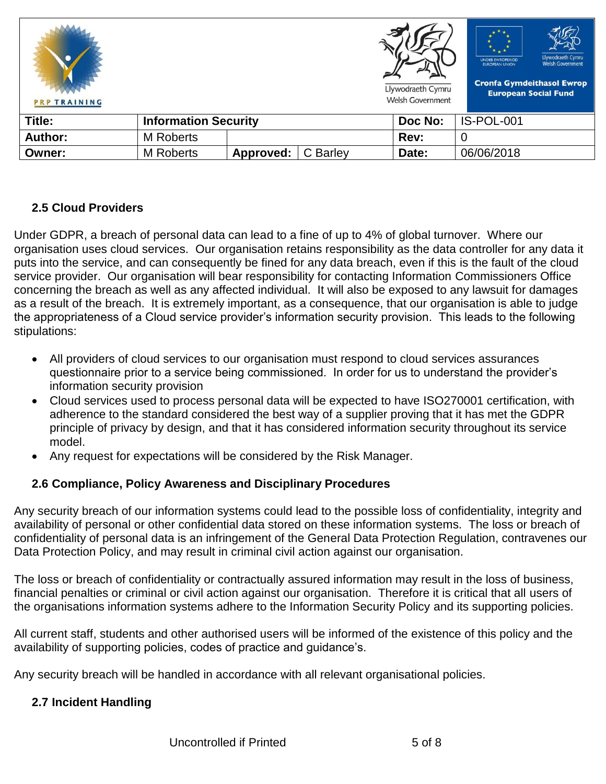| <b>PRP TRAINING</b> |                             |           |          | Llywodraeth Cymru<br><b>Welsh Government</b> | Llywodraeth Cymru<br><b>UNDEB EWROPEAIDD</b><br><b>Welsh Government</b><br><b>EUROPEAN UNION</b><br><b>Cronfa Gymdeithasol Ewrop</b><br><b>European Social Fund</b> |
|---------------------|-----------------------------|-----------|----------|----------------------------------------------|---------------------------------------------------------------------------------------------------------------------------------------------------------------------|
| Title:              | <b>Information Security</b> |           |          | Doc No:                                      | IS-POL-001                                                                                                                                                          |
| <b>Author:</b>      | M Roberts                   |           |          | Rev:                                         | 0                                                                                                                                                                   |
| Owner:              | <b>M</b> Roberts            | Approved: | C Barley | Date:                                        | 06/06/2018                                                                                                                                                          |

### **2.5 Cloud Providers**

Under GDPR, a breach of personal data can lead to a fine of up to 4% of global turnover. Where our organisation uses cloud services. Our organisation retains responsibility as the data controller for any data it puts into the service, and can consequently be fined for any data breach, even if this is the fault of the cloud service provider. Our organisation will bear responsibility for contacting Information Commissioners Office concerning the breach as well as any affected individual. It will also be exposed to any lawsuit for damages as a result of the breach. It is extremely important, as a consequence, that our organisation is able to judge the appropriateness of a Cloud service provider's information security provision. This leads to the following stipulations:

- All providers of cloud services to our organisation must respond to cloud services assurances questionnaire prior to a service being commissioned. In order for us to understand the provider's information security provision
- Cloud services used to process personal data will be expected to have ISO270001 certification, with adherence to the standard considered the best way of a supplier proving that it has met the GDPR principle of privacy by design, and that it has considered information security throughout its service model.
- Any request for expectations will be considered by the Risk Manager.

### **2.6 Compliance, Policy Awareness and Disciplinary Procedures**

Any security breach of our information systems could lead to the possible loss of confidentiality, integrity and availability of personal or other confidential data stored on these information systems. The loss or breach of confidentiality of personal data is an infringement of the General Data Protection Regulation, contravenes our Data Protection Policy, and may result in criminal civil action against our organisation.

The loss or breach of confidentiality or contractually assured information may result in the loss of business, financial penalties or criminal or civil action against our organisation. Therefore it is critical that all users of the organisations information systems adhere to the Information Security Policy and its supporting policies.

All current staff, students and other authorised users will be informed of the existence of this policy and the availability of supporting policies, codes of practice and guidance's.

Any security breach will be handled in accordance with all relevant organisational policies.

### **2.7 Incident Handling**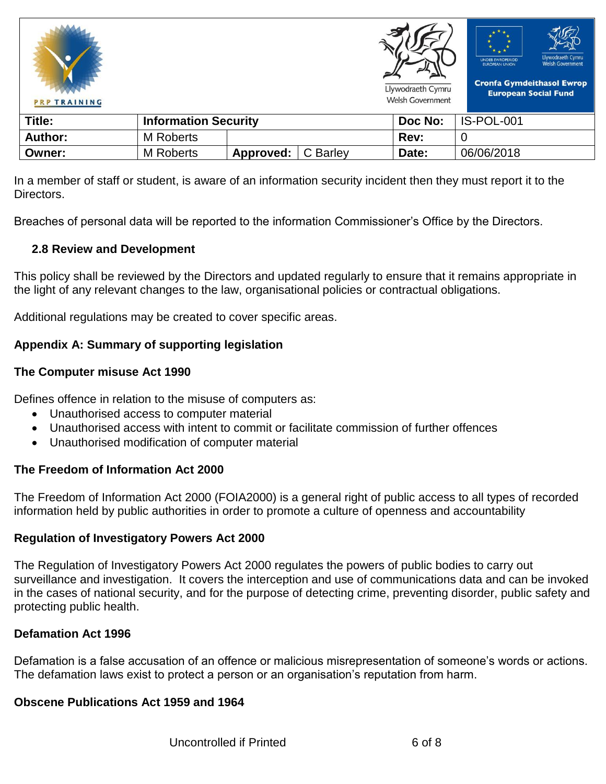



Llywodraeth Cymru

Welsh Government



**Cronfa Gymdeithasol Ewrop European Social Fund** 

| Title:         | <b>Information Security</b> |           |          | Doc No: | IS-POL-001 |
|----------------|-----------------------------|-----------|----------|---------|------------|
| <b>Author:</b> | <b>M</b> Roberts            |           |          | Rev:    |            |
| Owner:         | <b>M</b> Roberts            | Approved: | C Barley | Date:   | 06/06/2018 |

In a member of staff or student, is aware of an information security incident then they must report it to the **Directors** 

Breaches of personal data will be reported to the information Commissioner's Office by the Directors.

### **2.8 Review and Development**

This policy shall be reviewed by the Directors and updated regularly to ensure that it remains appropriate in the light of any relevant changes to the law, organisational policies or contractual obligations.

Additional regulations may be created to cover specific areas.

## **Appendix A: Summary of supporting legislation**

#### **The Computer misuse Act 1990**

Defines offence in relation to the misuse of computers as:

- Unauthorised access to computer material
- Unauthorised access with intent to commit or facilitate commission of further offences
- Unauthorised modification of computer material

### **The Freedom of Information Act 2000**

The Freedom of Information Act 2000 (FOIA2000) is a general right of public access to all types of recorded information held by public authorities in order to promote a culture of openness and accountability

### **Regulation of Investigatory Powers Act 2000**

The Regulation of Investigatory Powers Act 2000 regulates the powers of public bodies to carry out surveillance and investigation. It covers the interception and use of communications data and can be invoked in the cases of national security, and for the purpose of detecting crime, preventing disorder, public safety and protecting public health.

### **Defamation Act 1996**

Defamation is a false accusation of an offence or malicious misrepresentation of someone's words or actions. The defamation laws exist to protect a person or an organisation's reputation from harm.

### **Obscene Publications Act 1959 and 1964**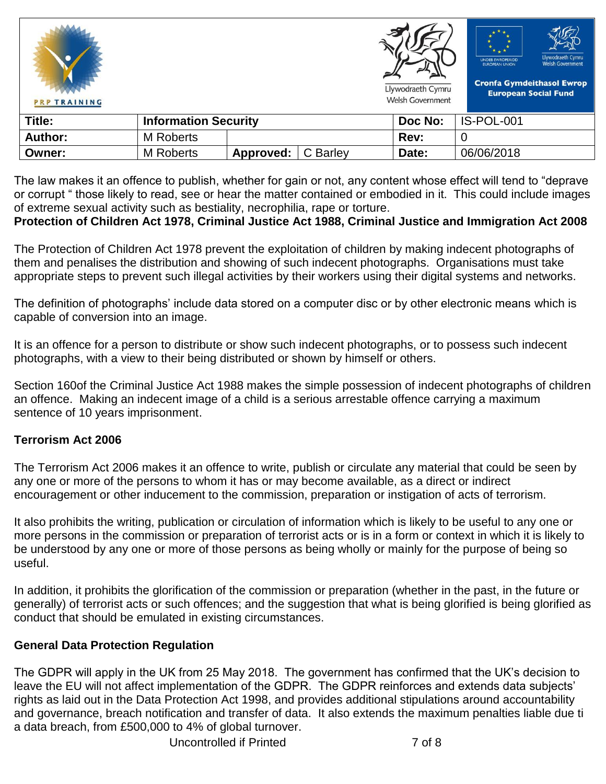| <b>PRP TRAINING</b> |                             |           |          | Llywodraeth Cymru<br><b>Welsh Government</b> | $* + *$<br>Llywodraeth Cymru<br><b>UNDEB EWROPEAIDD</b><br><b>Welsh Government</b><br><b>EUROPEAN UNION</b><br><b>Cronfa Gymdeithasol Ewrop</b><br><b>European Social Fund</b> |
|---------------------|-----------------------------|-----------|----------|----------------------------------------------|--------------------------------------------------------------------------------------------------------------------------------------------------------------------------------|
| Title:              | <b>Information Security</b> |           |          | Doc No:                                      | IS-POL-001                                                                                                                                                                     |
| <b>Author:</b>      | <b>M</b> Roberts            |           |          | Rev:                                         | U                                                                                                                                                                              |
| Owner:              | <b>M</b> Roberts            | Approved: | C Barley | Date:                                        | 06/06/2018                                                                                                                                                                     |

The law makes it an offence to publish, whether for gain or not, any content whose effect will tend to "deprave or corrupt " those likely to read, see or hear the matter contained or embodied in it. This could include images of extreme sexual activity such as bestiality, necrophilia, rape or torture.

### **Protection of Children Act 1978, Criminal Justice Act 1988, Criminal Justice and Immigration Act 2008**

The Protection of Children Act 1978 prevent the exploitation of children by making indecent photographs of them and penalises the distribution and showing of such indecent photographs. Organisations must take appropriate steps to prevent such illegal activities by their workers using their digital systems and networks.

The definition of photographs' include data stored on a computer disc or by other electronic means which is capable of conversion into an image.

It is an offence for a person to distribute or show such indecent photographs, or to possess such indecent photographs, with a view to their being distributed or shown by himself or others.

Section 160of the Criminal Justice Act 1988 makes the simple possession of indecent photographs of children an offence. Making an indecent image of a child is a serious arrestable offence carrying a maximum sentence of 10 years imprisonment.

### **Terrorism Act 2006**

The Terrorism Act 2006 makes it an offence to write, publish or circulate any material that could be seen by any one or more of the persons to whom it has or may become available, as a direct or indirect encouragement or other inducement to the commission, preparation or instigation of acts of terrorism.

It also prohibits the writing, publication or circulation of information which is likely to be useful to any one or more persons in the commission or preparation of terrorist acts or is in a form or context in which it is likely to be understood by any one or more of those persons as being wholly or mainly for the purpose of being so useful.

In addition, it prohibits the glorification of the commission or preparation (whether in the past, in the future or generally) of terrorist acts or such offences; and the suggestion that what is being glorified is being glorified as conduct that should be emulated in existing circumstances.

### **General Data Protection Regulation**

The GDPR will apply in the UK from 25 May 2018. The government has confirmed that the UK's decision to leave the EU will not affect implementation of the GDPR. The GDPR reinforces and extends data subjects' rights as laid out in the Data Protection Act 1998, and provides additional stipulations around accountability and governance, breach notification and transfer of data. It also extends the maximum penalties liable due ti a data breach, from £500,000 to 4% of global turnover.

Uncontrolled if Printed 7 of 8